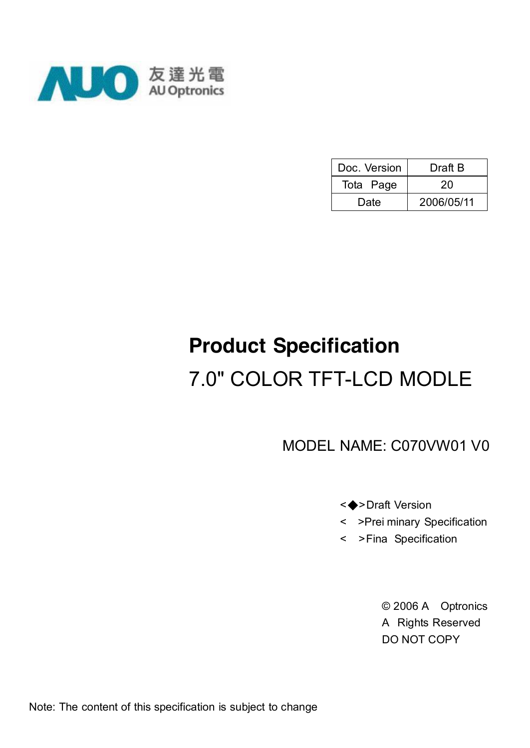

| Doc. Version | Draft B    |
|--------------|------------|
| Tota Page    | 20         |
| Date         | 2006/05/11 |

# **Product Specification** 7.0" COLOR TFT-LCD MODLE

MODEL NAME: C070VW01 V0

#### <◆>Draft Version

- < >Prei minary Specification
- < >Fina Specification

© 2006 A Optronics A Rights Reserved DO NOT COPY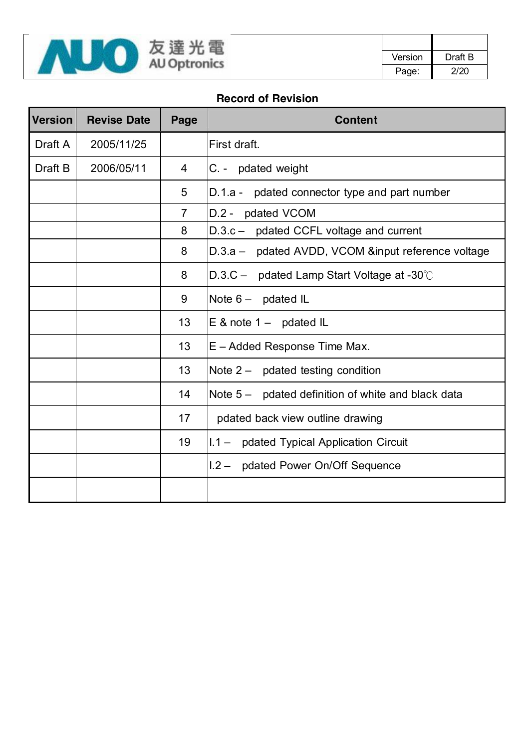

#### **Record of Revision**

| <b>Version</b> | <b>Revise Date</b> | Page           | <b>Content</b>                                     |  |  |
|----------------|--------------------|----------------|----------------------------------------------------|--|--|
| Draft A        | 2005/11/25         |                | First draft.                                       |  |  |
| Draft B        | 2006/05/11         | 4              | C. - pdated weight                                 |  |  |
|                |                    | 5              | D.1.a - pdated connector type and part number      |  |  |
|                |                    | $\overline{7}$ | D.2 - pdated VCOM                                  |  |  |
|                |                    | 8              | D.3.c - pdated CCFL voltage and current            |  |  |
|                |                    | 8              | D.3.a - pdated AVDD, VCOM &input reference voltage |  |  |
|                |                    | 8              | $D.3.C$ – pdated Lamp Start Voltage at -30 $°C$    |  |  |
|                |                    | 9              | Note $6 -$ pdated IL                               |  |  |
|                |                    | 13             | $E$ & note 1 – pdated IL                           |  |  |
|                |                    | 13             | E - Added Response Time Max.                       |  |  |
|                |                    | 13             | Note $2 -$ pdated testing condition                |  |  |
|                |                    | 14             | Note 5 – pdated definition of white and black data |  |  |
|                |                    | 17             | pdated back view outline drawing                   |  |  |
|                |                    | 19             | I.1 - pdated Typical Application Circuit           |  |  |
|                |                    |                | I.2 - pdated Power On/Off Sequence                 |  |  |
|                |                    |                |                                                    |  |  |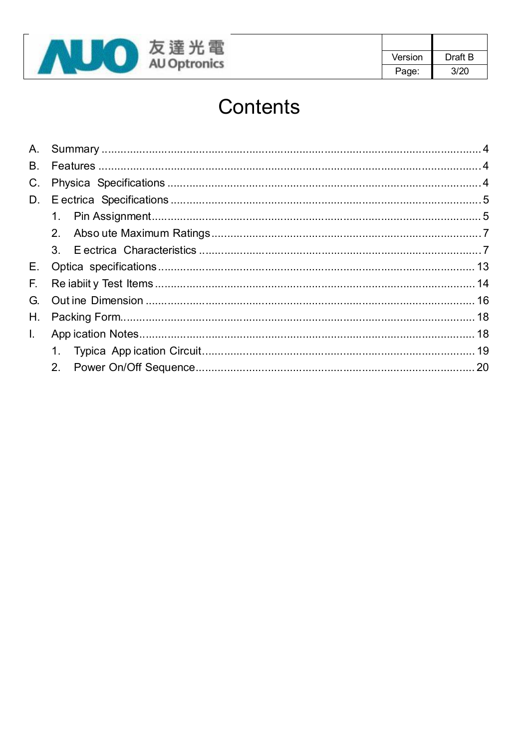

| Version | Draft B |
|---------|---------|
| Page:   | 3/20    |

# Contents

| В. |  |
|----|--|
|    |  |
|    |  |
|    |  |
|    |  |
|    |  |
|    |  |
|    |  |
|    |  |
| Η. |  |
|    |  |
|    |  |
|    |  |
|    |  |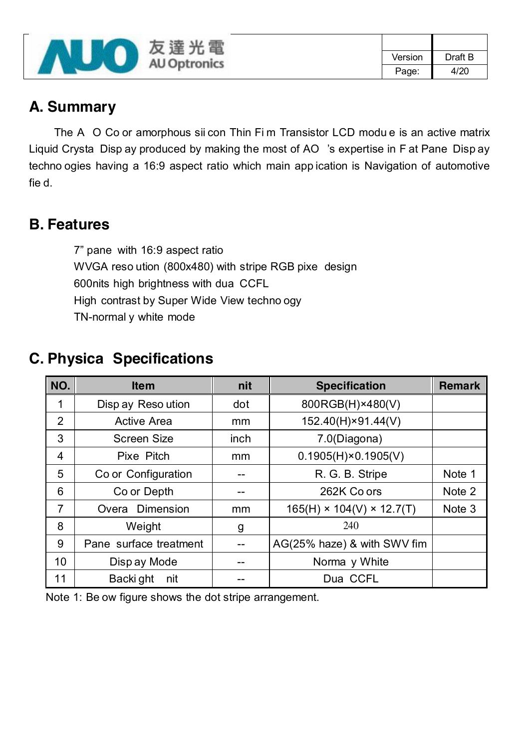

## **A. Summary**

The A O Co or amorphous sii con Thin Fi m Transistor LCD modu e is an active matrix Liquid Crysta Disp ay produced by making the most of AO 's expertise in F at Pane Disp ay techno ogies having a 16:9 aspect ratio which main app ication is Navigation of automotive fie d.

### **B. Features**

7" pane with 16:9 aspect ratio WVGA reso ution (800x480) with stripe RGB pixe design 600nits high brightness with dua CCFL High contrast by Super Wide View techno ogy TN-normal y white mode

# **C. Physica Specifications**

| NO.            | <b>Item</b>            | nit  | <b>Specification</b>                  | <b>Remark</b> |
|----------------|------------------------|------|---------------------------------------|---------------|
| 1              | Disp ay Reso ution     | dot  | 800RGB(H)×480(V)                      |               |
| $\overline{2}$ | <b>Active Area</b>     | mm   | 152.40(H)×91.44(V)                    |               |
| 3              | <b>Screen Size</b>     | inch | 7.0(Diagona)                          |               |
| $\overline{4}$ | Pixe Pitch             | mm   | $0.1905(H) \times 0.1905(V)$          |               |
| 5              | Co or Configuration    |      | R. G. B. Stripe                       | Note 1        |
| 6              | Co or Depth            |      | 262K Co ors                           | Note 2        |
| $\overline{7}$ | Overa Dimension        | mm   | $165(H) \times 104(V) \times 12.7(T)$ | Note 3        |
| 8              | Weight                 | g    | 240                                   |               |
| 9              | Pane surface treatment |      | AG(25% haze) & with SWV fim           |               |
| 10             | Disp ay Mode           |      | Norma y White                         |               |
| 11             | Backi ght<br>nit       |      | Dua CCFL                              |               |

Note 1: Be ow figure shows the dot stripe arrangement.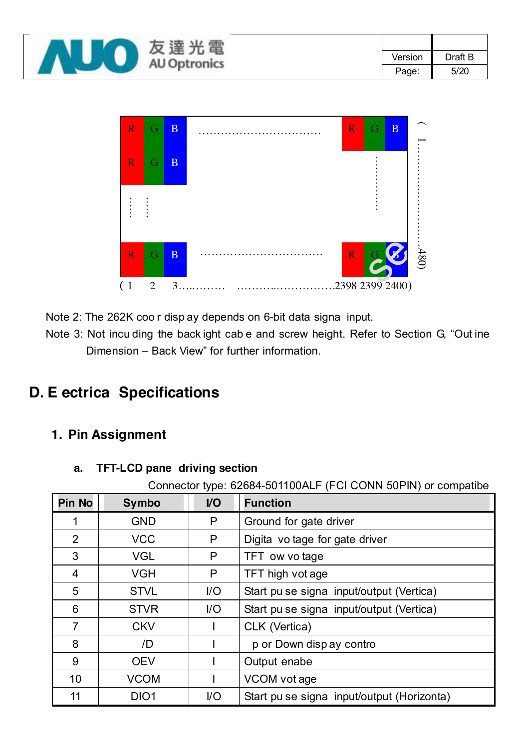| 電<br>反<br>连<br><b>AU Optronics</b> |         |         |      |
|------------------------------------|---------|---------|------|
|                                    | Version | Draft B |      |
|                                    |         | Page:   | 5/20 |



Note 2: The 262K coo r disp ay depends on 6-bit data signa input.

Note 3: Not incu ding the back ight cab e and screw height. Refer to Section G, "Out ine Dimension – Back View" for further information.

# **D. E ectrica Specifications**

### **1. Pin Assignment**

#### **a. TFT-LCD pane driving section**

Connector type: 62684-501100ALF (FCI CONN 50PIN) or compatibe

| <b>Pin No</b>  | <b>Symbo</b>     | <b>VO</b> | <b>Function</b>                            |
|----------------|------------------|-----------|--------------------------------------------|
|                | <b>GND</b>       | P         | Ground for gate driver                     |
| 2              | <b>VCC</b>       | P         | Digita vo tage for gate driver             |
| 3              | <b>VGL</b>       | P         | TFT ow vo tage                             |
| 4              | <b>VGH</b>       | P         | TFT high vot age                           |
| 5              | <b>STVL</b>      | $U$       | Start pu se signa input/output (Vertica)   |
| 6              | <b>STVR</b>      | $U$       | Start pu se signa input/output (Vertica)   |
| $\overline{7}$ | <b>CKV</b>       |           | CLK (Vertica)                              |
| 8              | /D               |           | p or Down disp ay contro                   |
| 9              | <b>OEV</b>       |           | Output enabe                               |
| 10             | <b>VCOM</b>      |           | VCOM vot age                               |
| 11             | DIO <sub>1</sub> | $U$       | Start pu se signa input/output (Horizonta) |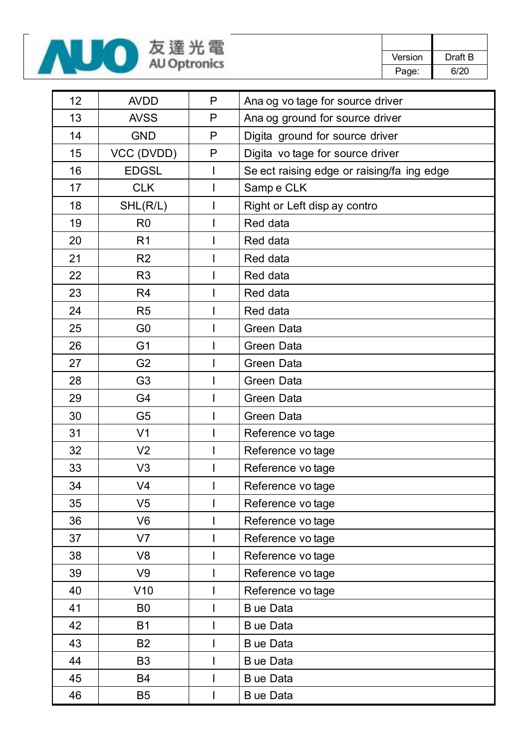

| 12 | <b>AVDD</b>    | P | Ana og vo tage for source driver           |
|----|----------------|---|--------------------------------------------|
| 13 | <b>AVSS</b>    | P | Ana og ground for source driver            |
| 14 | <b>GND</b>     | P | Digita ground for source driver            |
| 15 | VCC (DVDD)     | P | Digita vo tage for source driver           |
| 16 | <b>EDGSL</b>   | I | Se ect raising edge or raising/fa ing edge |
| 17 | <b>CLK</b>     |   | Sampe CLK                                  |
| 18 | SHL(R/L)       |   | Right or Left disp ay contro               |
| 19 | R <sub>0</sub> |   | Red data                                   |
| 20 | R <sub>1</sub> |   | Red data                                   |
| 21 | R <sub>2</sub> |   | Red data                                   |
| 22 | R <sub>3</sub> |   | Red data                                   |
| 23 | R <sub>4</sub> |   | Red data                                   |
| 24 | R <sub>5</sub> |   | Red data                                   |
| 25 | G <sub>0</sub> |   | Green Data                                 |
| 26 | G <sub>1</sub> |   | Green Data                                 |
| 27 | G <sub>2</sub> |   | Green Data                                 |
| 28 | G <sub>3</sub> |   | Green Data                                 |
| 29 | G4             |   | Green Data                                 |
| 30 | G <sub>5</sub> |   | Green Data                                 |
| 31 | V <sub>1</sub> |   | Reference vo tage                          |
| 32 | V <sub>2</sub> |   | Reference vo tage                          |
| 33 | V <sub>3</sub> |   | Reference vo tage                          |
| 34 | V <sub>4</sub> |   | Reference vo tage                          |
| 35 | V <sub>5</sub> |   | Reference vo tage                          |
| 36 | V <sub>6</sub> |   | Reference vo tage                          |
| 37 | V <sub>7</sub> |   | Reference vo tage                          |
| 38 | V <sub>8</sub> |   | Reference vo tage                          |
| 39 | V9             |   | Reference vo tage                          |
| 40 | V10            |   | Reference vo tage                          |
| 41 | B <sub>0</sub> |   | B ue Data                                  |
| 42 | <b>B1</b>      |   | B ue Data                                  |
| 43 | <b>B2</b>      |   | B ue Data                                  |
| 44 | B <sub>3</sub> |   | B ue Data                                  |
| 45 | <b>B4</b>      |   | B ue Data                                  |
| 46 | <b>B5</b>      |   | B ue Data                                  |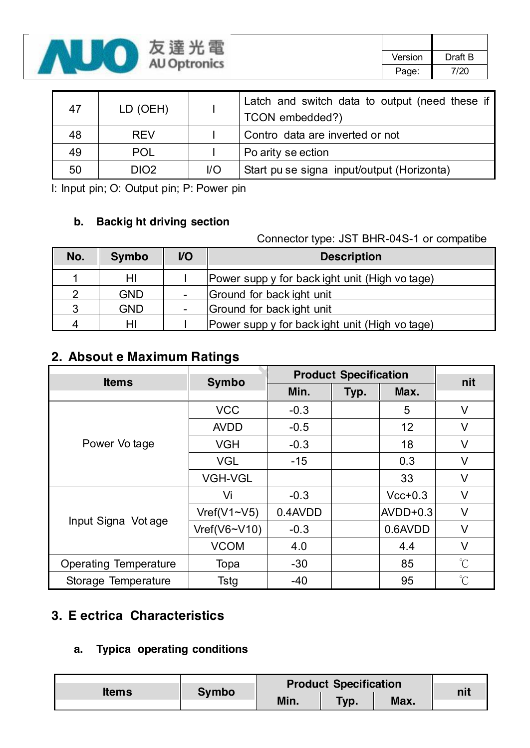

| 47 | LD (OEH)   |     | Latch and switch data to output (need these if<br>TCON embedded?) |  |  |  |  |
|----|------------|-----|-------------------------------------------------------------------|--|--|--|--|
| 48 | <b>REV</b> |     | Contro data are inverted or not                                   |  |  |  |  |
| 49 | <b>POL</b> |     | Po arity se ection                                                |  |  |  |  |
| 50 | DIO2.      | $U$ | Start pu se signa input/output (Horizonta)                        |  |  |  |  |

I: Input pin; O: Output pin; P: Power pin

#### **b. Backig ht driving section**

#### Connector type: JST BHR-04S-1 or compatibe

| No. | <b>Symbo</b> | V <sub>O</sub>           | <b>Description</b>                             |
|-----|--------------|--------------------------|------------------------------------------------|
|     | HI           |                          | Power supp y for back ight unit (High vo tage) |
| 2   | <b>GND</b>   | $\overline{\phantom{a}}$ | Ground for back ight unit                      |
| 3   | <b>GND</b>   |                          | Ground for back ight unit                      |
| Δ   | HI           |                          | Power supp y for back ight unit (High vo tage) |

### **2. Absout e Maximum Ratings**

| <b>Items</b>                 | <b>Symbo</b>       | <b>Product Specification</b> | nit  |            |                      |
|------------------------------|--------------------|------------------------------|------|------------|----------------------|
|                              |                    | Min.                         | Typ. | Max.       |                      |
|                              | <b>VCC</b>         | $-0.3$                       |      | 5          | V                    |
|                              | <b>AVDD</b>        | $-0.5$                       |      | 12         | V                    |
| Power Vo tage                | <b>VGH</b>         | $-0.3$                       |      | 18         | $\vee$               |
|                              | <b>VGL</b>         | $-15$                        |      | 0.3        | $\vee$               |
|                              | <b>VGH-VGL</b>     |                              |      | 33         | V                    |
|                              | Vi                 | $-0.3$                       |      | $Vcc+0.3$  | V                    |
|                              | Vref(V1~V5)        | 0.4AVDD                      |      | $AVDD+0.3$ | V                    |
| Input Signa Vot age          | $Vref(V6\sim V10)$ | $-0.3$                       |      | 0.6AVDD    | V                    |
|                              | <b>VCOM</b>        | 4.0                          |      | 4.4        | V                    |
| <b>Operating Temperature</b> | Topa               | $-30$                        |      | 85         | $\int_{0}^{\infty}$  |
| Storage Temperature          | Tstg               | $-40$                        |      | 95         | $\mathrm{C}^{\circ}$ |

### **3. E ectrica Characteristics**

#### **a. Typica operating conditions**

| <b>Items</b> | <b>Symbo</b> |      | <b>Product Specification</b> |      |  |
|--------------|--------------|------|------------------------------|------|--|
|              |              | Min. | Typ.                         | Max. |  |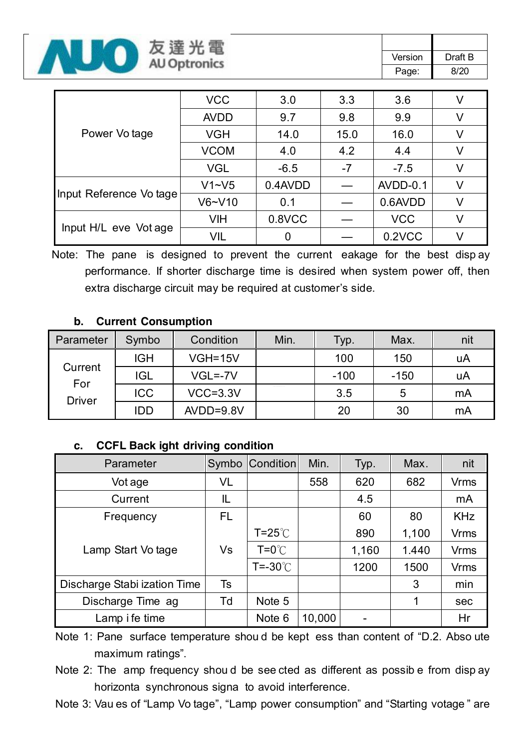

| Power Vo tage           | <b>VCC</b>  | 3.0        | 3.3  | 3.6        |  |
|-------------------------|-------------|------------|------|------------|--|
|                         | <b>AVDD</b> | 9.7        | 9.8  | 9.9        |  |
|                         | <b>VGH</b>  | 14.0       | 15.0 | 16.0       |  |
|                         | <b>VCOM</b> | 4.2<br>4.0 |      | 4.4        |  |
|                         | <b>VGL</b>  | $-6.5$     | $-7$ | $-7.5$     |  |
| Input Reference Vo tage | $V1 - V5$   | 0.4AVDD    |      | AVDD-0.1   |  |
|                         | $V6-V10$    | 0.1        |      | 0.6AVDD    |  |
| Input H/L eve Vot age   | <b>VIH</b>  | 0.8VCC     |      | <b>VCC</b> |  |
|                         | VIL         |            |      | 0.2VCC     |  |

Note: The pane is designed to prevent the current eakage for the best disp ay performance. If shorter discharge time is desired when system power off, then extra discharge circuit may be required at customer's side.

#### **b. Current Consumption**

| Parameter                       | Symbo      | Condition    | Min. | Typ.   | Max.   | nit |
|---------------------------------|------------|--------------|------|--------|--------|-----|
|                                 | <b>IGH</b> | $VGH=15V$    |      | 100    | 150    | uA  |
| Current<br>For<br><b>Driver</b> | <b>IGL</b> | $VGL = -7V$  |      | $-100$ | $-150$ | uA  |
|                                 | <b>ICC</b> | $VCC = 3.3V$ |      | 3.5    | 5      | mA  |
|                                 | <b>IDD</b> | $AVDD=9.8V$  |      | 20     | 30     | mA  |

#### **c. CCFL Back ight driving condition**

| Parameter                    |     | Symbo Condition   | Min.   | Typ.  | Max.  | nit         |
|------------------------------|-----|-------------------|--------|-------|-------|-------------|
| Vot age                      | VL  |                   | 558    | 620   | 682   | <b>Vrms</b> |
| Current                      | IL  |                   |        | 4.5   |       | mA          |
| Frequency                    | FL. |                   |        | 60    | 80    | <b>KHz</b>  |
|                              | Vs  | $T = 25^{\circ}$  |        | 890   | 1,100 | <b>Vrms</b> |
| Lamp Start Vo tage           |     | $T = 0^{\circ}$   |        | 1,160 | 1.440 | <b>Vrms</b> |
|                              |     | $T = -30^{\circ}$ |        | 1200  | 1500  | <b>Vrms</b> |
| Discharge Stabi ization Time | Ts  |                   |        |       | 3     | min         |
| Discharge Time ag            | Td  | Note 5            |        |       | 1     | sec         |
| Lamp i fe time               |     | Note 6            | 10,000 |       |       | Hr          |

Note 1: Pane surface temperature shou d be kept ess than content of "D.2. Abso ute maximum ratings".

- Note 2: The amp frequency shou d be see cted as different as possib e from disp ay horizonta synchronous signa to avoid interference.
- Note 3: Vau es of "Lamp Vo tage", "Lamp power consumption" and "Starting votage " are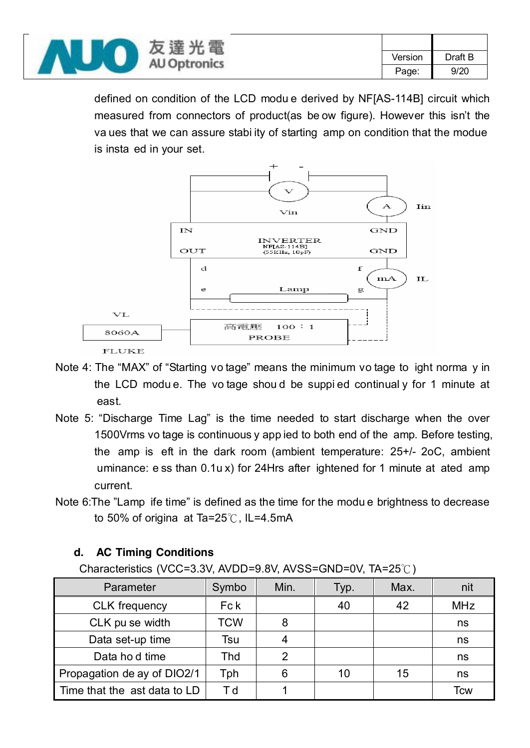|  | 鼍<br>反<br>涯              |         |         |      |
|--|--------------------------|---------|---------|------|
|  | 兀<br><b>AU Optronics</b> | Version | Draft B |      |
|  |                          |         | Page.   | 9/20 |

defined on condition of the LCD modu e derived by NF[AS-114B] circuit which measured from connectors of product(as be ow figure). However this isn't the va ues that we can assure stabi ity of starting amp on condition that the modue is insta ed in your set.



- Note 4: The "MAX" of "Starting vo tage" means the minimum vo tage to ight norma y in the LCD modu e. The vo tage shou d be suppi ed continual y for 1 minute at east.
- Note 5: "Discharge Time Lag" is the time needed to start discharge when the over 1500Vrms vo tage is continuous y app ied to both end of the amp. Before testing, the amp is eft in the dark room (ambient temperature: 25+/- 2oC, ambient uminance: e ss than 0.1u x) for 24Hrs after ightened for 1 minute at ated amp current.
- Note 6:The "Lamp ife time" is defined as the time for the modu e brightness to decrease to 50% of origina at Ta=25℃, IL=4.5mA

#### **d. AC Timing Conditions**

Characteristics (VCC=3.3V, AVDD=9.8V, AVSS=GND=0V, TA=25℃)

| Parameter                    | Symbo      | Min. | Typ. | Max. | nit        |
|------------------------------|------------|------|------|------|------------|
| <b>CLK</b> frequency         | Fc k       |      | 40   | 42   | <b>MHz</b> |
| CLK pu se width              | <b>TCW</b> | 8    |      |      | ns         |
| Data set-up time             | Tsu        |      |      |      | ns         |
| Data ho d time               | Thd        | ◠    |      |      | ns         |
| Propagation de ay of DIO2/1  | Tph        | 6    | 10   | 15   | ns         |
| Time that the ast data to LD | Τd         |      |      |      | Tcw        |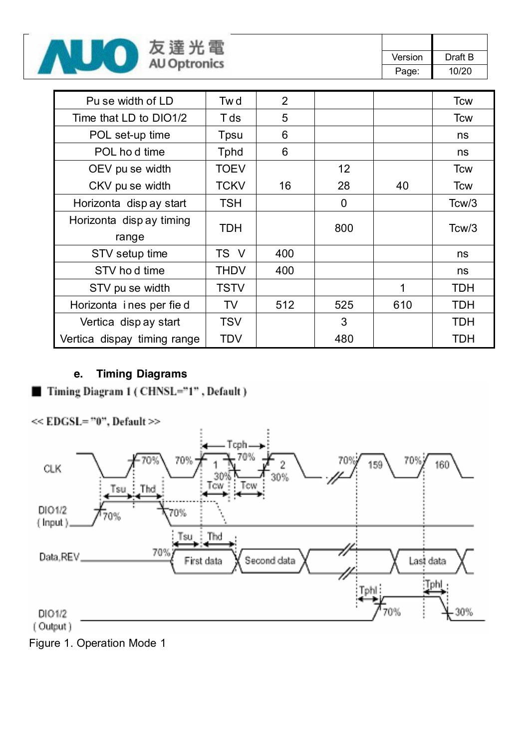

| Version | Draft B |
|---------|---------|
| Page:   | 10/20   |

| Pu se width of LD           | Tw d         | $\overline{2}$ |                 |     | <b>Tcw</b>         |
|-----------------------------|--------------|----------------|-----------------|-----|--------------------|
| Time that LD to DIO1/2      | T ds         | 5              |                 |     | <b>Tcw</b>         |
| POL set-up time             | Tpsu         | 6              |                 |     | ns                 |
| POL ho d time               | <b>T</b> phd | 6              |                 |     | ns                 |
| OEV pu se width             | <b>TOEV</b>  |                | 12 <sup>2</sup> |     | <b>Tcw</b>         |
| CKV pu se width             | <b>TCKV</b>  | 16             | 28              | 40  | <b>Tcw</b>         |
| Horizonta disp ay start     | <b>TSH</b>   |                | 0               |     | Tcw/3              |
| Horizonta disp ay timing    |              |                |                 |     |                    |
| range                       | <b>TDH</b>   |                | 800             |     | Tc <sub>W</sub> /3 |
| STV setup time              | TS V         | 400            |                 |     | ns                 |
| STV hod time                | THDV         | 400            |                 |     | ns                 |
| STV pu se width             | <b>TSTV</b>  |                |                 | 1   | <b>TDH</b>         |
| Horizonta ines per fie d    | <b>TV</b>    | 512            | 525             | 610 | <b>TDH</b>         |
| Vertica disp ay start       | <b>TSV</b>   |                | 3               |     | <b>TDH</b>         |
| Vertica dispay timing range | TDV          |                | 480             |     | TDH                |

#### **e. Timing Diagrams**



Figure 1. Operation Mode 1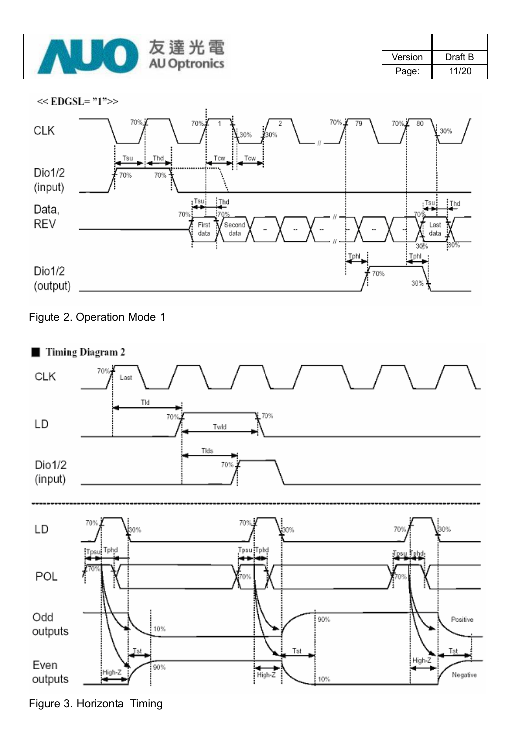

| Version | Draft B |
|---------|---------|
| Page:   | 11/20   |







Figure 3. Horizonta Timing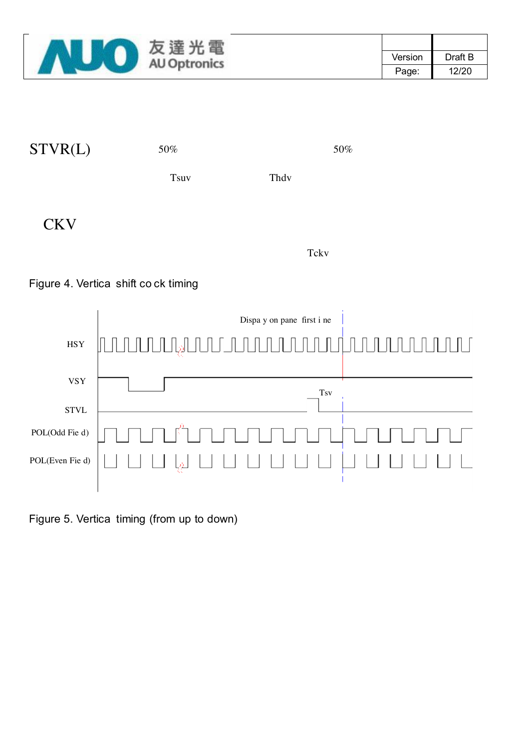

| STVR(L)    | 50%         |      | 50% |
|------------|-------------|------|-----|
|            | <b>Tsuv</b> | Thdy |     |
| <b>CKV</b> |             |      |     |

Tckv

#### Figure 4. Vertica shift co ck timing



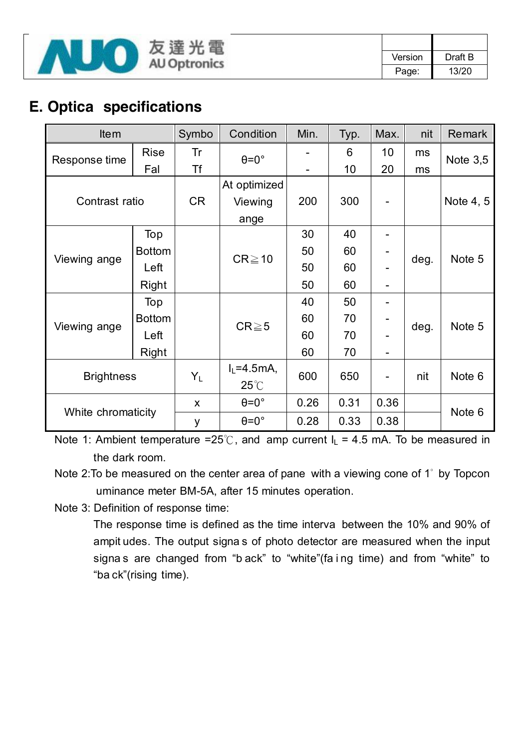

| Version | Draft B |
|---------|---------|
| Page:   | 13/20   |

# **E. Optica specifications**

| <b>Item</b>        |               | Symbo     | Condition            | Min. | Typ. | Max. | nit  | <b>Remark</b>     |
|--------------------|---------------|-----------|----------------------|------|------|------|------|-------------------|
| Response time      | <b>Rise</b>   | Tr        | $\theta = 0^\circ$   |      | 6    | 10   | ms   | Note $3,5$        |
|                    | Fal           | <b>Tf</b> |                      |      | 10   | 20   | ms   |                   |
|                    |               |           | At optimized         |      |      |      |      |                   |
| Contrast ratio     |               | CR        | Viewing              | 200  | 300  |      |      | Note 4, 5         |
|                    |               |           | ange                 |      |      |      |      |                   |
|                    | Top           |           |                      | 30   | 40   |      |      |                   |
|                    | <b>Bottom</b> |           |                      | 50   | 60   |      | deg. | Note 5            |
| Viewing ange       | Left          |           | $CR \ge 10$          | 50   | 60   |      |      |                   |
|                    | Right         |           |                      | 50   | 60   |      |      |                   |
|                    | Top           |           |                      | 40   | 50   |      |      |                   |
|                    | <b>Bottom</b> |           |                      | 60   | 70   |      |      |                   |
| Viewing ange       | Left          |           | $CR \ge 5$           | 60   | 70   |      | deg. | Note 5            |
|                    | Right         |           |                      | 60   | 70   |      |      |                   |
| <b>Brightness</b>  |               |           | $I_L = 4.5mA$ ,      | 600  | 650  |      | nit  |                   |
|                    |               | $Y_L$     | $25^{\circ}$         |      |      |      |      | Note <sub>6</sub> |
|                    |               | X         | $\theta = 0^{\circ}$ | 0.26 | 0.31 | 0.36 |      |                   |
| White chromaticity |               | У         | $\theta = 0^{\circ}$ | 0.28 | 0.33 | 0.38 |      | Note <sub>6</sub> |

Note 1: Ambient temperature =25°C, and amp current  $I_1$  = 4.5 mA. To be measured in the dark room.

Note 2:To be measured on the center area of pane with a viewing cone of 1° by Topcon uminance meter BM-5A, after 15 minutes operation.

Note 3: Definition of response time:

The response time is defined as the time interva between the 10% and 90% of ampit udes. The output signa s of photo detector are measured when the input signa s are changed from "b ack" to "white"(fa i ng time) and from "white" to "ba ck"(rising time).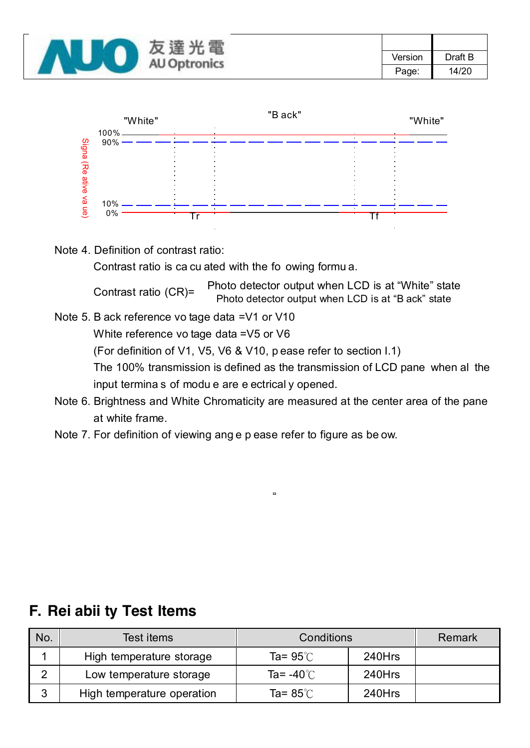



Note 4. Definition of contrast ratio:

Contrast ratio is ca cu ated with the fo owing formu a.

Contrast ratio (CR)= Photo detector output when LCD is at "White" state Photo detector output when LCD is at "B ack" state

- Note 5. B ack reference vo tage data =V1 or V10 White reference vo tage data =V5 or V6 (For definition of V1, V5, V6 & V10, p ease refer to section I.1) The 100% transmission is defined as the transmission of LCD pane when al the input termina s of modu e are e ectrical y opened.
- Note 6. Brightness and White Chromaticity are measured at the center area of the pane at white frame.
- Note 7. For definition of viewing ang e p ease refer to figure as be ow.

| No. | Test items                 | Conditions           | Remark |  |
|-----|----------------------------|----------------------|--------|--|
|     | High temperature storage   | Ta= $95^\circ$ C     | 240Hrs |  |
| ◠   | Low temperature storage    | Ta= -40 $^{\circ}$ C | 240Hrs |  |
| 3   | High temperature operation | Ta= $85^\circ$ C     | 240Hrs |  |

### **F. Rei abii ty Test Items**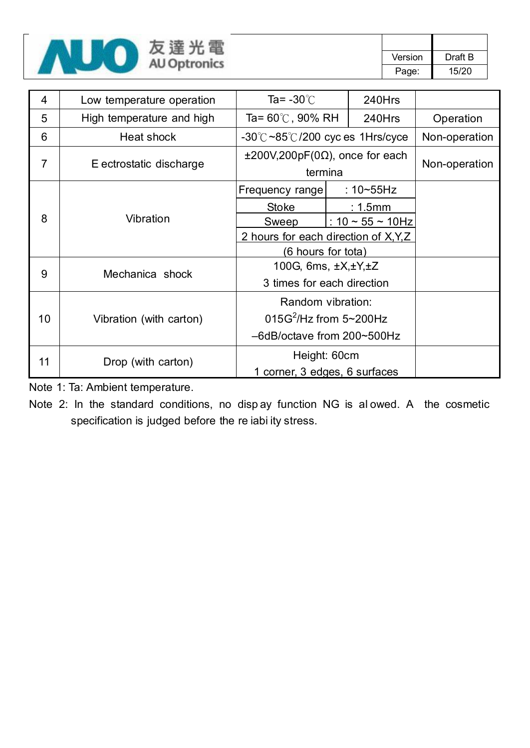

| 4  | Low temperature operation | Ta= $-30^{\circ}$ C<br>240Hrs                           |  |                     |  |
|----|---------------------------|---------------------------------------------------------|--|---------------------|--|
| 5  | High temperature and high | Ta= 60℃, 90% RH<br>240Hrs                               |  | Operation           |  |
| 6  | Heat shock                | $-30^{\circ}$ C $\sim$ 85 $\circ$ /200 cyc es 1Hrs/cyce |  | Non-operation       |  |
| 7  | E ectrostatic discharge   | $\pm 200V, 200pF(0\Omega)$ , once for each<br>termina   |  | Non-operation       |  |
|    | Vibration                 | Frequency range                                         |  | : $10 - 55$ Hz      |  |
|    |                           | <b>Stoke</b>                                            |  | $: 1.5$ mm          |  |
| 8  |                           | <b>Sweep</b>                                            |  | : $10 - 55 - 10$ Hz |  |
|    |                           | 2 hours for each direction of X, Y, Z                   |  |                     |  |
|    |                           | (6 hours for tota)                                      |  |                     |  |
|    | Mechanica shock           | 100G, 6ms, $\pm X, \pm Y, \pm Z$                        |  |                     |  |
| 9  |                           | 3 times for each direction                              |  |                     |  |
|    |                           | Random vibration:                                       |  |                     |  |
| 10 | Vibration (with carton)   | 015G <sup>2</sup> /Hz from 5~200Hz                      |  |                     |  |
|    |                           | -6dB/octave from 200~500Hz                              |  |                     |  |
|    |                           | Height: 60cm                                            |  |                     |  |
| 11 | Drop (with carton)        | 1 corner, 3 edges, 6 surfaces                           |  |                     |  |

Note 1: Ta: Ambient temperature.

Note 2: In the standard conditions, no disp ay function NG is al owed. A the cosmetic specification is judged before the re iabi ity stress.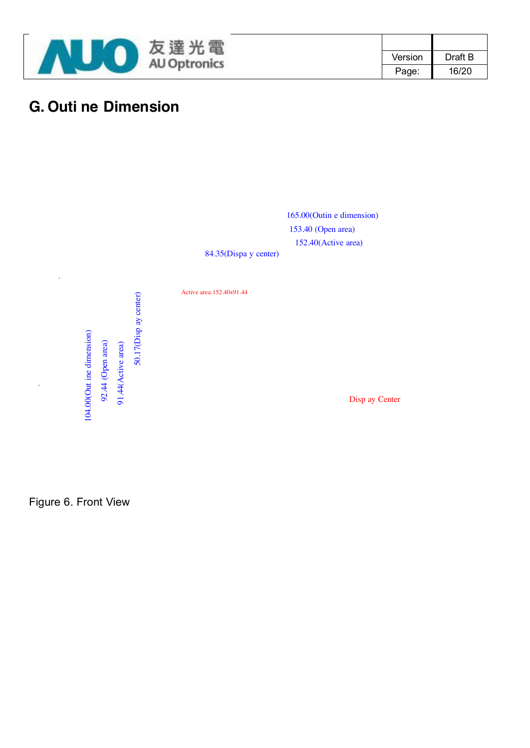

| Version | Draft B |
|---------|---------|
| Page:   | 16/20   |

# **G. Outi ne Dimension**



84.35(Dispa y center)

Active area:152.40x91.44

50.17(Disp ay center) 104.00(Out ine dimension) ut ine dimension) 92.44 (Open area) 91.44 (Active area) 92.44 (Open area) 91.44(Active area)

50.17(Disp ay center)

Disp ay Center

Figure 6. Front View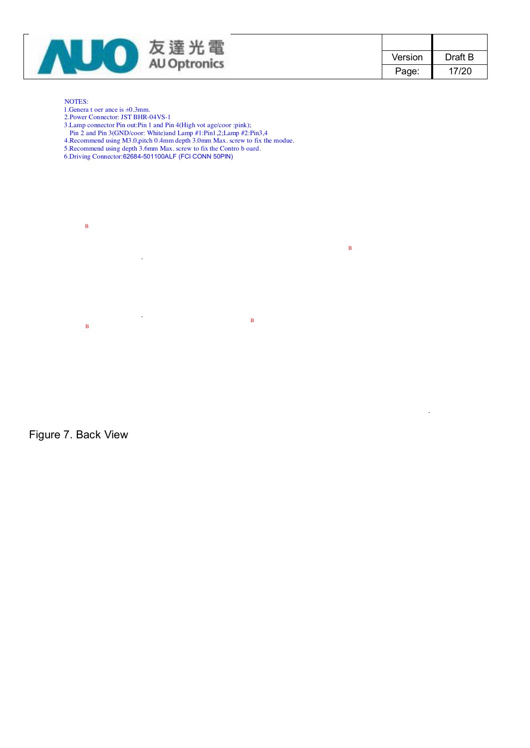

| Version | Draft B |
|---------|---------|
| Page:   | 17/20   |

#### NOTES:

- 1.Genera t oer ance is ±0.3mm.
- 2.Power Connector: JST BHR-04VS-1
- 3.Lamp connector Pin out:Pin 1 and Pin 4(High vot age/coor :pink);
- Pin 2 and Pin 3(GND/coor: White)and Lamp #1:Pin1,2;Lamp #2:Pin3,4
- 4.Recommend using M3.0,pitch 0.4mm depth 3.0mm Max. screw to fix the modue.
- 5.Recommend using depth 3.6mm Max. screw to fix the Contro b oard.
- 6.Driving Connector:62684-501100ALF (FCI CONN 50PIN)



Figure 7. Back View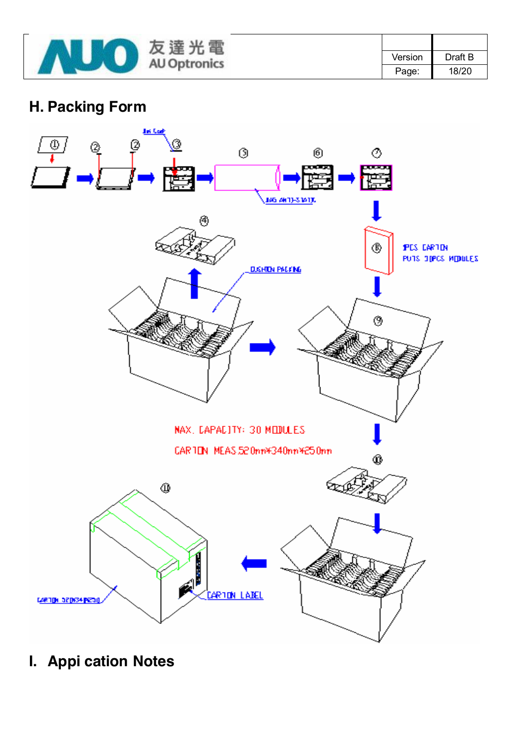

| Version | Draft B |
|---------|---------|
| Page:   | 18/20   |

# **H. Packing Form**



**I. Appi cation Notes**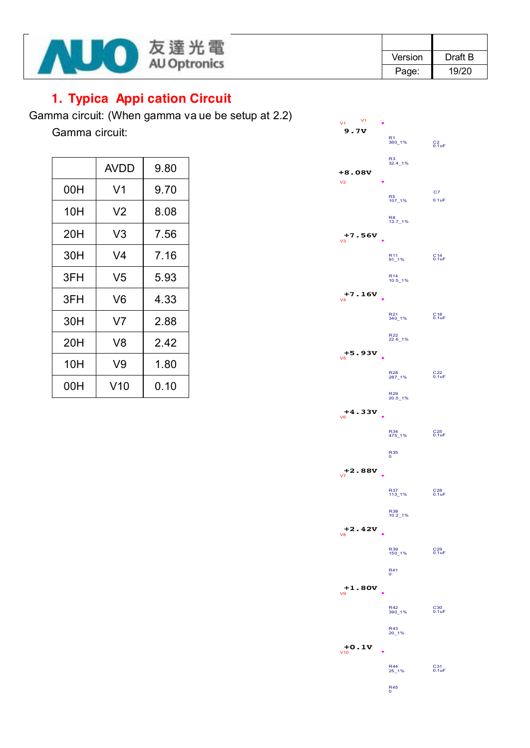

| Version | Draft B |
|---------|---------|
| Page:   | 19/20   |

### **1. Typica Appi cation Circuit**

Gamma circuit: (When gamma va ue be setup at 2.2)

Gamma circuit:

|     | <b>AVDD</b>    | 9.80 |
|-----|----------------|------|
| 00H | V1             | 9.70 |
| 10H | V <sub>2</sub> | 8.08 |
| 20H | V3             | 7.56 |
| 30H | V4             | 7.16 |
| 3FH | V <sub>5</sub> | 5.93 |
| 3FH | V6             | 4.33 |
| 30H | V <sub>7</sub> | 2.88 |
| 20H | V8             | 2.42 |
| 10H | V9             | 1.80 |
| 00H | V10            | 0.10 |